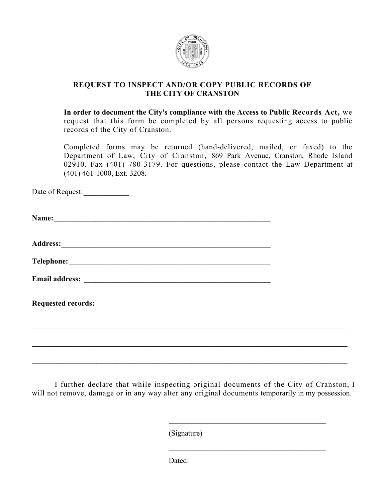

# **REQUEST TO INSPECT AND/OR COPY PUBLIC RECORDS OF THE CITY OF CRANSTON**

**In order to document the City's compliance with the Access to Public Records Act,** we request that this form be completed by all persons requesting access to public records of the City of Cranston.

Completed forms may be returned (hand-delivered, mailed, or faxed) to the Department of Law, City of Cranston, 869 Park Avenue, Cranston, Rhode Island 02910. Fax (401) 780-3179. For questions, please contact the Law Department at (401) 461-1000, Ext. 3208.

Date of Request: \_\_\_\_\_\_\_\_\_\_\_\_

| <b>Requested records:</b> |  |
|---------------------------|--|
|                           |  |
|                           |  |

I further declare that while inspecting original documents of the City of Cranston, I will not remove, damage or in any way alter any original documents temporarily in my possession.

\_\_\_\_\_\_\_\_\_\_\_\_\_\_\_\_\_\_\_\_\_\_\_\_\_\_\_\_\_\_\_\_\_\_\_\_\_\_\_\_\_\_

\_\_\_\_\_\_\_\_\_\_\_\_\_\_\_\_\_\_\_\_\_\_\_\_\_\_\_\_\_\_\_\_\_\_\_\_\_\_\_\_\_\_

**\_\_\_\_\_\_\_\_\_\_\_\_\_\_\_\_\_\_\_\_\_\_\_\_\_\_\_\_\_\_\_\_\_\_\_\_\_\_\_\_\_\_\_\_\_\_\_\_\_\_\_\_\_\_\_\_\_\_\_\_\_\_\_\_\_\_\_\_\_\_\_\_\_\_\_\_\_\_\_\_\_\_\_** 

(Signature)

Dated<sup>-</sup>